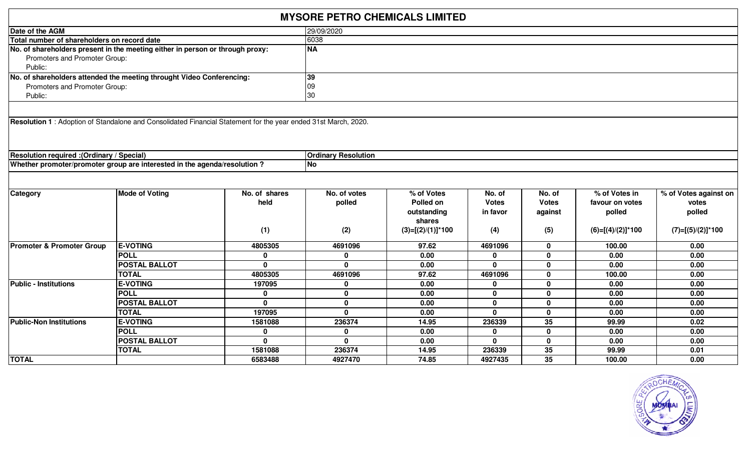|                                                                                                                |                       |               | <b>MYSORE PETRO CHEMICALS LIMITED</b> |                      |              |              |                      |                       |
|----------------------------------------------------------------------------------------------------------------|-----------------------|---------------|---------------------------------------|----------------------|--------------|--------------|----------------------|-----------------------|
| Date of the AGM                                                                                                |                       |               | 29/09/2020                            |                      |              |              |                      |                       |
| Total number of shareholders on record date                                                                    |                       |               | 6038                                  |                      |              |              |                      |                       |
| No. of shareholders present in the meeting either in person or through proxy:<br>Promoters and Promoter Group: |                       |               | <b>NA</b>                             |                      |              |              |                      |                       |
| Public:                                                                                                        |                       |               |                                       |                      |              |              |                      |                       |
| No. of shareholders attended the meeting throught Video Conferencing:                                          |                       |               | 39                                    |                      |              |              |                      |                       |
| Promoters and Promoter Group:                                                                                  |                       |               | 09                                    |                      |              |              |                      |                       |
| Public:                                                                                                        |                       |               | 30                                    |                      |              |              |                      |                       |
|                                                                                                                |                       |               |                                       |                      |              |              |                      |                       |
| Resolution 1: Adoption of Standalone and Consolidated Financial Statement for the year ended 31st March, 2020. |                       |               |                                       |                      |              |              |                      |                       |
| (Ordinary / Special): Resolution required                                                                      |                       |               | <b>Ordinary Resolution</b>            |                      |              |              |                      |                       |
| Whether promoter/promoter group are interested in the agenda/resolution?                                       |                       |               | <b>No</b>                             |                      |              |              |                      |                       |
|                                                                                                                |                       |               |                                       |                      |              |              |                      |                       |
| <b>Category</b>                                                                                                | <b>Mode of Voting</b> | No. of shares | No. of votes                          | % of Votes           | No. of       | No. of       | $%$ of Votes in      | % of Votes against on |
|                                                                                                                |                       | held          | polled                                | Polled on            | <b>Votes</b> | <b>Votes</b> | favour on votes      | votes                 |
|                                                                                                                |                       |               |                                       | outstanding          | in favor     | against      | polled               | polled                |
|                                                                                                                |                       |               |                                       | shares               |              |              |                      |                       |
|                                                                                                                |                       | (1)           | (2)                                   | $(3)=[(2)/(1)]^*100$ | (4)          | (5)          | $(6)=[(4)/(2)]$ *100 | $(7)=[(5)/(2)]$ *100  |
| <b>Promoter &amp; Promoter Group</b>                                                                           | <b>E-VOTING</b>       | 4805305       | 4691096                               | 97.62                | 4691096      | $\mathbf{0}$ | 100.00               | 0.00                  |
|                                                                                                                | <b>POLL</b>           | $\mathbf 0$   | $\mathbf 0$                           | 0.00                 | $\Omega$     | $\mathbf 0$  | 0.00                 | 0.00                  |
|                                                                                                                | <b>POSTAL BALLOT</b>  | $\bf{0}$      | $\mathbf{0}$                          | 0.00                 | $\Omega$     | $\mathbf 0$  | 0.00                 | 0.00                  |
|                                                                                                                | <b>TOTAL</b>          | 4805305       | 4691096                               | 97.62                | 4691096      | $\mathbf 0$  | 100.00               | 0.00                  |
| <b>Public - Institutions</b>                                                                                   | <b>E-VOTING</b>       | 197095        | $\mathbf 0$                           | 0.00                 | $\bf{0}$     | $\mathbf 0$  | 0.00                 | 0.00                  |
|                                                                                                                | <b>POLL</b>           | 0             | $\mathbf 0$                           | 0.00                 | $\mathbf{0}$ | $\mathbf 0$  | 0.00                 | 0.00                  |
|                                                                                                                | <b>POSTAL BALLOT</b>  | $\mathbf{0}$  | $\mathbf 0$                           | 0.00                 | $\mathbf{0}$ | $\mathbf 0$  | 0.00                 | 0.00                  |
|                                                                                                                | <b>TOTAL</b>          | 197095        | $\mathbf{0}$                          | 0.00                 | $\Omega$     | $\mathbf 0$  | 0.00                 | 0.00                  |
| <b>Public-Non Institutions</b>                                                                                 | <b>E-VOTING</b>       | 1581088       | 236374                                | 14.95                | 236339       | 35           | 99.99                | 0.02                  |
|                                                                                                                | <b>POLL</b>           | 0             | $\mathbf 0$                           | 0.00                 | $\bf{0}$     | $\mathbf 0$  | 0.00                 | 0.00                  |
|                                                                                                                | <b>POSTAL BALLOT</b>  | $\mathbf{0}$  | $\mathbf{0}$                          | 0.00                 | $\mathbf{0}$ | $\mathbf 0$  | 0.00                 | 0.00                  |
|                                                                                                                | <b>TOTAL</b>          | 1581088       | 236374                                | 14.95                | 236339       | 35           | 99.99                | 0.01                  |
| <b>TOTAL</b>                                                                                                   |                       | 6583488       | 4927470                               | 74.85                | 4927435      | 35           | 100.00               | 0.00                  |

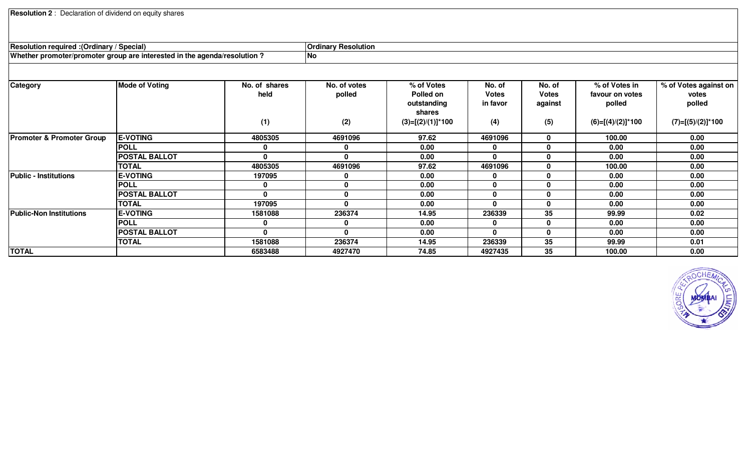۰

| / Special<br>/ Ordinary): Resolution required                                                            | <b>Ordinary</b><br><sup>,</sup> Resolution |
|----------------------------------------------------------------------------------------------------------|--------------------------------------------|
| qenda/resolution<br><b>Nhethe</b><br>* aroup a.<br>the<br>er promotel<br>ົ່າ intere<br>:/promor<br>неч ш | No                                         |

| Category                             | <b>Mode of Voting</b> | No. of shares | No. of votes | % of Votes           | No. of       | No. of       | % of Votes in        | % of Votes against on |
|--------------------------------------|-----------------------|---------------|--------------|----------------------|--------------|--------------|----------------------|-----------------------|
|                                      |                       | held          | polled       | Polled on            | <b>Votes</b> | <b>Votes</b> | favour on votes      | votes                 |
|                                      |                       |               |              | outstanding          | in favor     | against      | polled               | polled                |
|                                      |                       |               |              | shares               |              |              |                      |                       |
|                                      |                       | (1)           | (2)          | $(3)=[(2)/(1)]^*100$ | (4)          | (5)          | $(6)=[(4)/(2)]$ *100 | $(7)=[(5)/(2)]*100$   |
| <b>Promoter &amp; Promoter Group</b> | <b>E-VOTING</b>       | 4805305       | 4691096      | 97.62                | 4691096      | 0            | 100.00               | 0.00                  |
|                                      | <b>POLL</b>           | 0             | $\mathbf 0$  | 0.00                 |              | 0            | 0.00                 | 0.00                  |
|                                      | <b>POSTAL BALLOT</b>  | $\mathbf{0}$  | $\mathbf{0}$ | 0.00                 | 0            | 0            | 0.00                 | 0.00                  |
|                                      | <b>TOTAL</b>          | 4805305       | 4691096      | 97.62                | 4691096      | 0            | 100.00               | 0.00                  |
| <b>Public - Institutions</b>         | <b>E-VOTING</b>       | 197095        | 0            | 0.00                 |              | 0            | 0.00                 | 0.00                  |
|                                      | <b>POLL</b>           | 0             | 0            | 0.00                 | 0            | 0            | 0.00                 | 0.00                  |
|                                      | <b>POSTAL BALLOT</b>  | $\mathbf{0}$  | 0            | 0.00                 |              | 0            | 0.00                 | 0.00                  |
|                                      | <b>TOTAL</b>          | 197095        | $\mathbf{0}$ | 0.00                 | 0            | 0            | 0.00                 | 0.00                  |
| <b>Public-Non Institutions</b>       | <b>E-VOTING</b>       | 1581088       | 236374       | 14.95                | 236339       | 35           | 99.99                | 0.02                  |
|                                      | <b>POLL</b>           | $\mathbf 0$   | 0            | 0.00                 | 0            | 0            | 0.00                 | 0.00                  |
|                                      | <b>POSTAL BALLOT</b>  | $\mathbf{0}$  | $\mathbf{0}$ | 0.00                 | 0            | 0            | 0.00                 | 0.00                  |
|                                      | <b>TOTAL</b>          | 1581088       | 236374       | 14.95                | 236339       | 35           | 99.99                | 0.01                  |
| <b>TOTAL</b>                         |                       | 6583488       | 4927470      | 74.85                | 4927435      | 35           | 100.00               | 0.00                  |

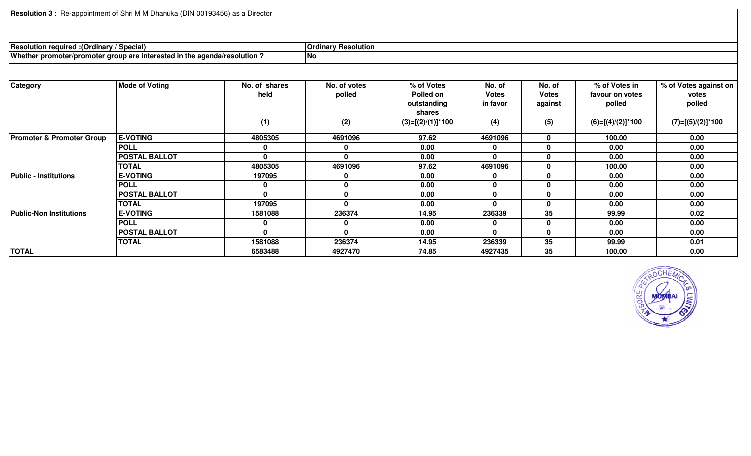**Resolution <sup>3</sup>** : Re-appointment of Shri M M Dhanuka (DIN 00193456) as a Director

| <b>Resolution required : (Ordinary / Special)</b>                        |                      | <b>Ordinary Resolution</b> |             |              |          |          |                 |                           |
|--------------------------------------------------------------------------|----------------------|----------------------------|-------------|--------------|----------|----------|-----------------|---------------------------|
| Whether promoter/promoter group are interested in the agenda/resolution? |                      |                            | No          |              |          |          |                 |                           |
|                                                                          |                      |                            |             |              |          |          |                 |                           |
| $\sim$                                                                   | $M = A = A M = 11.4$ | Na af abayaa               | Na afiratas | $0/14$ Matas | $M = -1$ | $N = -1$ | $0/14$ Matan in | $0/14$ Matan avaivat av l |

| <b>Category</b>                      | <b>Mode of Voting</b> | No. of shares | No. of votes | % of Votes           | No. of       | No. of  | % of Votes in        | % of Votes against on |
|--------------------------------------|-----------------------|---------------|--------------|----------------------|--------------|---------|----------------------|-----------------------|
|                                      |                       | held          | polled       | Polled on            | <b>Votes</b> | Votes   | favour on votes      | votes                 |
|                                      |                       |               |              | outstanding          | in favor     | against | polled               | polled                |
|                                      |                       |               |              | shares               |              |         |                      |                       |
|                                      |                       | (1)           | (2)          | $(3)=[(2)/(1)]^*100$ | (4)          | (5)     | $(6)=[(4)/(2)]$ *100 | $(7)=[(5)/(2)]*100$   |
| <b>Promoter &amp; Promoter Group</b> | <b>E-VOTING</b>       | 4805305       | 4691096      | 97.62                | 4691096      |         | 100.00               | 0.00                  |
|                                      | <b>POLL</b>           | 0             | U            | 0.00                 | 0            |         | 0.00                 | 0.00                  |
|                                      | <b>POSTAL BALLOT</b>  | $\mathbf{0}$  | 0            | 0.00                 | $\mathbf{0}$ |         | 0.00                 | 0.00                  |
|                                      | <b>TOTAL</b>          | 4805305       | 4691096      | 97.62                | 4691096      |         | 100.00               | 0.00                  |
| <b>Public - Institutions</b>         | <b>E-VOTING</b>       | 197095        |              | 0.00                 | 0            |         | 0.00                 | 0.00                  |
|                                      | <b>POLL</b>           | 0             |              | 0.00                 | $\bf{0}$     |         | 0.00                 | 0.00                  |
|                                      | <b>POSTAL BALLOT</b>  | $\mathbf{0}$  |              | 0.00                 | $\bf{0}$     |         | 0.00                 | 0.00                  |
|                                      | <b>TOTAL</b>          | 197095        | 0            | 0.00                 | $\mathbf{0}$ |         | 0.00                 | 0.00                  |
| <b>Public-Non Institutions</b>       | <b>E-VOTING</b>       | 1581088       | 236374       | 14.95                | 236339       | 35      | 99.99                | 0.02                  |
|                                      | <b>POLL</b>           | 0             |              | 0.00                 | 0            |         | 0.00                 | 0.00                  |
|                                      | <b>POSTAL BALLOT</b>  | $\mathbf{0}$  | 0            | 0.00                 | $\mathbf{0}$ |         | 0.00                 | 0.00                  |
|                                      | <b>TOTAL</b>          | 1581088       | 236374       | 14.95                | 236339       | 35      | 99.99                | 0.01                  |
| <b>TOTAL</b>                         |                       | 6583488       | 4927470      | 74.85                | 4927435      | 35      | 100.00               | 0.00                  |

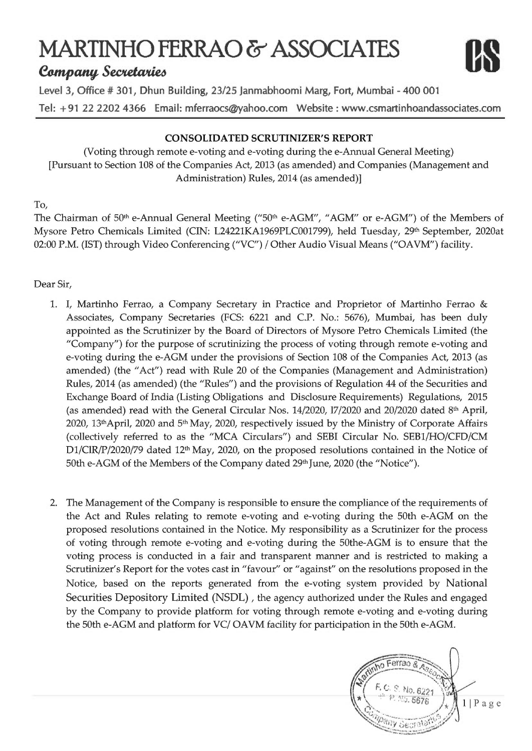# MARTINHO FERRAO & ASSOCIATES



**Company Secretaries** 

Level 3, Office # 301, Dhun Building, 23/25 Janmabhoomi Marg, Fort, Mumbai - 400 001 Tel: +91 22 2202 4366 Email: mferraocs@yahoo.com Website : www.csmartinhoandassociates.com

# **CONSOLIDATED SCRUTINIZER'S REPORT**

(Voting through remote e-voting and e-voting during the e-Annual General Meeting) [Pursuant to Section 108 of the Companies Act, 2013 (as amended) and Companies (Management and Administration) Rules, 2014 (as amended)]

# To,

The Chairman of 50<sup>th</sup> e-Annual General Meeting ("50<sup>th</sup> e-AGM", "AGM" or e-AGM") of the Members of Mysore Petro Chemicals Limited (CIN: L24221KA1969PLC001799), held Tuesday, 29th September, 2020at 02:00 P.M. (IST) through Video Conferencing ("VC") / Other Audio Visual Means ("OAVM") facility.

# Dear Sir,

- 1. I, Martinho Ferrao, a Company Secretary in Practice and Proprietor of Martinho Ferrao & Associates, Company Secretaries (FCS: 6221 and C.P. No.: 5676), Mumbai, has been duly appointed as the Scrutinizer by the Board of Directors of Mysore Petro Chemicals Limited (the "Company") for the purpose of scrutinizing the process of voting through remote e-voting and e-voting during the e-AGM under the provisions of Section 108 of the Companies Act, 2013 (as amended) (the "Act") read with Rule 20 of the Companies (Management and Administration) Rules, 2014 (as amended) (the "Rules") and the provisions of Regulation 44 of the Securities and Exchange Board of India (Listing Obligations and Disclosure Requirements) Regulations, 2015 (as amended) read with the General Circular Nos. 14/2020, 17/2020 and 20/2020 dated 8th April, 2020, 13<sup>th</sup>April, 2020 and 5<sup>th</sup> May, 2020, respectively issued by the Ministry of Corporate Affairs (collectively referred to as the "MCA Circulars") and SEBI Circular No. SEB1/HO/CFD/CM D1/ClR/P/2020/79 dated 12<sup>th</sup> May, 2020, on the proposed resolutions contained in the Notice of 50th e-AGM of the Members of the Company dated 29th June, 2020 (the "Notice").
- 2. The Management of the Company is responsible to ensure the compliance of the requirements of the Act and Rules relating to remote e-voting and e-voting during the 50th e-AGM on the proposed resolutions contained in the Notice. My responsibility as a Scrutinizer for the process of voting through remote e-voting and e-voting during the 50the-AGM is to ensure that the voting process is conducted in a fair and transparent manner and is restricted to making a Scrutinizer's Report for the votes cast in "favour" or "against" on the resolutions proposed in the Notice, based on the reports generated from the e-voting system provided by National Securities Depository Limited (NSDL), the agency authorized under the Rules and engaged by the Company to provide platform for voting through remote e-voting and e-voting during the 50th e-AGM and platform for VC/OAVM facility for participation in the 50th e-AGM.

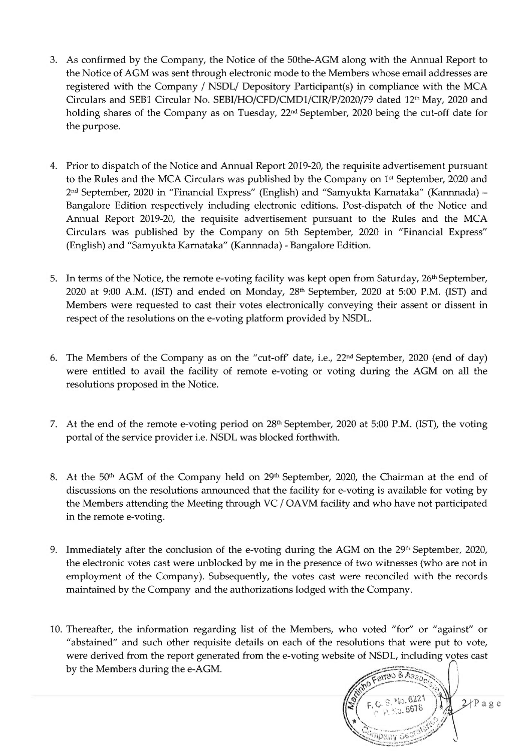- 3. As confirmed by the Company, the Notice of the 50the-AGM along with the Annual Report to the Notice of AGM was sent through electronic mode to the Members whose email addresses are registered with the Company / NSDL/ Depository Participant(s) in compliance with the MCA Circulars and SEB1 Circular No. SEBI/HO/CFD/CMD1/CIR/P/2020/79 dated 12th May, 2020 and holding shares of the Company as on Tuesday, 22<sup>nd</sup> September, 2020 being the cut-off date for the purpose.
- 4. Prior to dispatch of the Notice and Annual Report 2019-20, the requisite advertisement pursuant to the Rules and the MCA Circulars was published by the Company on 1<sup>st</sup> September, 2020 and 2<sup>nd</sup> September, 2020 in "Financial Express" (English) and "Samyukta Karnataka" (Kannnada) – Bangalore Edition respectively including electronic editions. Post-dispatch of the Notice and Annual Report 2019-20, the requisite advertisement pursuant to the Rules and the MCA Circulars was published by the Company on 5th September, 2020 in "Financial Express" (English) and "Samyukta Karnataka" (Kannnada) - Bangalore Edition.
- 5. In terms of the Notice, the remote e-voting facility was kept open from Saturday, 26<sup>th</sup> September, 2020 at 9:00 A.M. (IST) and ended on Monday, 28<sup>th</sup> September, 2020 at 5:00 P.M. (IST) and Members were requested to cast their votes electronically conveying their assent or dissent in respect of the resolutions on the e-voting platform provided by NSDL.
- 6. The Members of the Company as on the "cut-off' date, i.e., 22<sup>nd</sup> September, 2020 (end of day) were entitled to avail the facility of remote e-voting or voting during the AGM on all the resolutions proposed in the Notice.
- 7. At the end of the remote e-voting period on 28th September, 2020 at 5:00 P.M. (IST), the voting portal of the service provider i.e. NSDL was blocked forthwith.
- 8. At the 50<sup>th</sup> AGM of the Company held on 29<sup>th</sup> September, 2020, the Chairman at the end of discussions on the resolutions announced that the facility for e-voting is available for voting by the Members attending the Meeting through VC / OAVM facility and who have not participated in the remote e-voting.
- 9. Immediately after the conclusion of the e-voting during the AGM on the 29th September, 2020, the electronic votes cast were unblocked by me in the presence of two witnesses (who are not in employment of the Company). Subsequently, the votes cast were reconciled with the records maintained by the Company and the authorizations lodged with the Company.
- 10. Thereafter, the information regarding list of the Members, who voted "for" or "against" or "abstained" and such other requisite details on each of the resolutions that were put to vote, were derived from the report generated from the e-voting website of NSDL, including votes cast by the Members during the e-AGM.

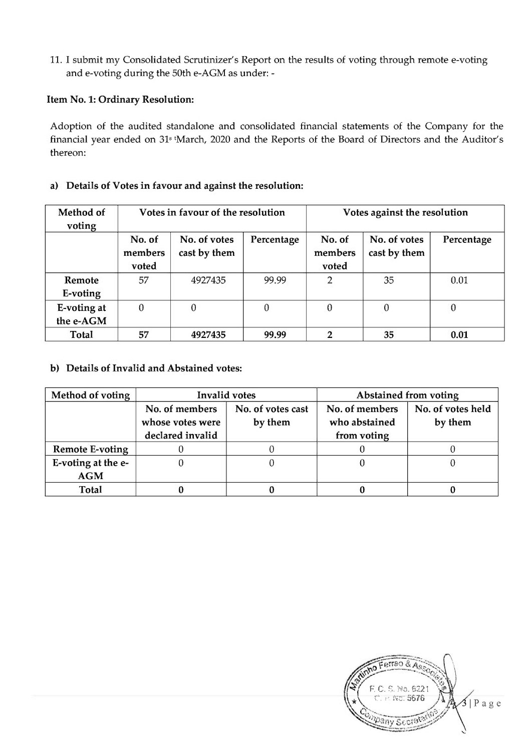11. I submit my Consolidated Scrutinizer's Report on the results of voting through remote e-voting and e-voting during the 50th e-AGM as under: -

### Item No. 1: Ordinary Resolution:

Adoption of the audited standalone and consolidated financial statements of the Company for the financial year ended on 31<sup>s</sup> tMarch, 2020 and the Reports of the Board of Directors and the Auditor's thereon:

## a) Details of Votes in favour and against the resolution:

| Method of<br>voting      |                            | Votes in favour of the resolution |            |                            | Votes against the resolution |            |
|--------------------------|----------------------------|-----------------------------------|------------|----------------------------|------------------------------|------------|
|                          | No. of<br>members<br>voted | No. of votes<br>cast by them      | Percentage | No. of<br>members<br>voted | No. of votes<br>cast by them | Percentage |
| Remote<br>E-voting       | 57                         | 4927435                           | 99.99      | $\overline{2}$             | 35                           | 0.01       |
| E-voting at<br>the e-AGM | $\theta$                   | 0                                 | 0          | $\mathbf{0}$               | $\theta$                     | 0          |
| Total                    | 57                         | 4927435                           | 99.99      | っ                          | 35                           | 0.01       |

## b) Details of Invalid and Abstained votes:

| Method of voting                 |                                                        | <b>Invalid votes</b>         | <b>Abstained from voting</b>                   |                              |  |
|----------------------------------|--------------------------------------------------------|------------------------------|------------------------------------------------|------------------------------|--|
|                                  | No. of members<br>whose votes were<br>declared invalid | No. of votes cast<br>by them | No. of members<br>who abstained<br>from voting | No. of votes held<br>by them |  |
| <b>Remote E-voting</b>           |                                                        |                              |                                                |                              |  |
| E-voting at the e-<br><b>AGM</b> |                                                        |                              |                                                |                              |  |
| Total                            |                                                        |                              |                                                |                              |  |

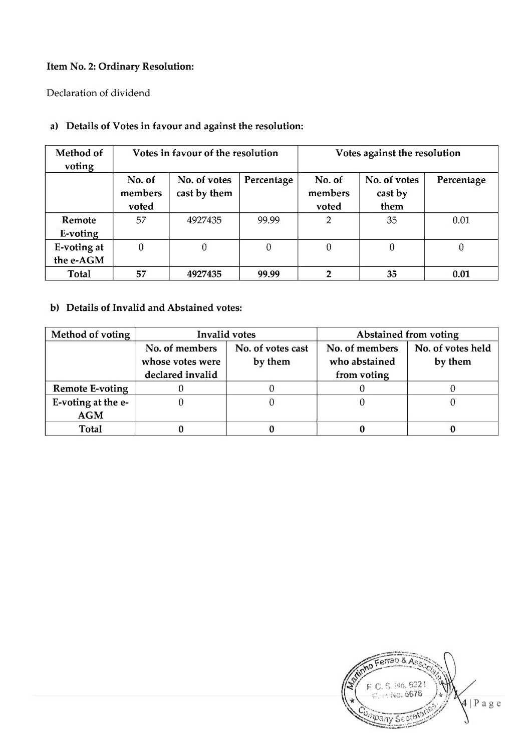# Item No. 2: Ordinary Resolution:

Declaration of dividend

| Method of<br>voting      |                            | Votes in favour of the resolution | Votes against the resolution |                            |                                 |            |
|--------------------------|----------------------------|-----------------------------------|------------------------------|----------------------------|---------------------------------|------------|
|                          | No. of<br>members<br>voted | No. of votes<br>cast by them      | Percentage                   | No. of<br>members<br>voted | No. of votes<br>cast by<br>them | Percentage |
| Remote<br>E-voting       | 57                         | 4927435                           | 99.99                        | 2                          | 35                              | 0.01       |
| E-voting at<br>the e-AGM | $\theta$                   | 0                                 | $\theta$                     | 0                          | 0                               | 0          |
| Total                    | 57                         | 4927435                           | 99.99                        | າ                          | 35                              | 0.01       |

# a) Details of Votes in favour and against the resolution:

# b) Details of Invalid and Abstained votes:

| <b>Method of voting</b>          | <b>Invalid votes</b>                                   |                              | <b>Abstained from voting</b>                   |                              |  |
|----------------------------------|--------------------------------------------------------|------------------------------|------------------------------------------------|------------------------------|--|
|                                  | No. of members<br>whose votes were<br>declared invalid | No. of votes cast<br>by them | No. of members<br>who abstained<br>from voting | No. of votes held<br>by them |  |
| <b>Remote E-voting</b>           |                                                        |                              |                                                |                              |  |
| E-voting at the e-<br><b>AGM</b> |                                                        |                              |                                                |                              |  |
| Total                            |                                                        |                              |                                                |                              |  |

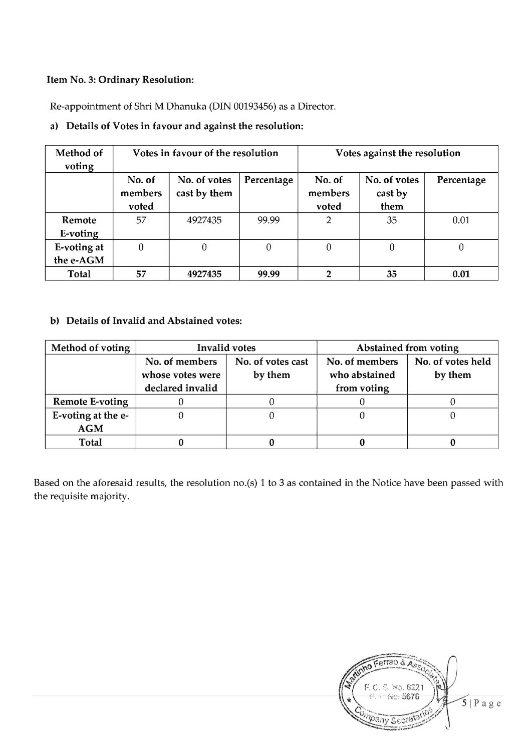#### Item No. 3: Ordinary Resolution:

Re-appointment of Shri M Dhanuka (DIN 00193456) as a Director.

## a) Details of Votes in favour and against the resolution:

| Method of<br>voting      |                            | Votes in favour of the resolution |            |                            | Votes against the resolution    |            |
|--------------------------|----------------------------|-----------------------------------|------------|----------------------------|---------------------------------|------------|
|                          | No. of<br>members<br>voted | No. of votes<br>cast by them      | Percentage | No. of<br>members<br>voted | No. of votes<br>cast by<br>them | Percentage |
| Remote<br>E-voting       | 57                         | 4927435                           | 99.99      | $\overline{2}$             | 35                              | 0.01       |
| E-voting at<br>the e-AGM | $\theta$                   | $\theta$                          | $\theta$   | $\theta$                   | 0                               | 0          |
| Total                    | 57                         | 4927435                           | 99.99      |                            | 35                              | 0.01       |

b) Details of Invalid and Abstained votes:

| Method of voting                 |                                                        | <b>Invalid votes</b>         | Abstained from voting                          |                              |  |
|----------------------------------|--------------------------------------------------------|------------------------------|------------------------------------------------|------------------------------|--|
|                                  | No. of members<br>whose votes were<br>declared invalid | No. of votes cast<br>by them | No. of members<br>who abstained<br>from voting | No. of votes held<br>by them |  |
| <b>Remote E-voting</b>           |                                                        |                              |                                                |                              |  |
| E-voting at the e-<br><b>AGM</b> |                                                        |                              |                                                |                              |  |
| Total                            |                                                        |                              |                                                |                              |  |

Based on the aforesaid results, the resolution no.(s) 1 to 3 as contained in the Notice have been passed with the requisite majority.